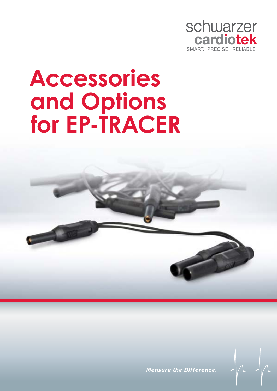

# **Accessories and Options for EP-TRACER**



**Measure the Difference**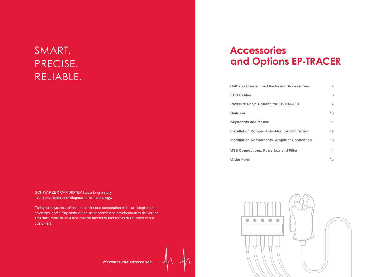SCHWARZER CARDIOTEK has a long history in the development of diagnostics for cardiology**.**

Today, our systems reflect the continuous cooperation with cardiologists and scientists, combining state-of-the-art research and development to deliver the smartest, most reliable and precise hardware and software solutions to our customers.

# **Measure the Difference.**

# SMART. PRECISE. RELIABLE.

# **Accessories and Options EP-TRACER**

**Catheter Connection Blocks and Acces ECG Cables Pressure Cable Options for EP-TRACE Suitcase Keyboards and Mouse Installation Components - Monitor Con Installation Components - Amplifier Co USB Connections, Powerbox and Filter Order Form** 



| ssories!       | 4              |
|----------------|----------------|
|                | 6              |
| ER.            | $\overline{7}$ |
|                | 10             |
|                | 11             |
| <b>nection</b> | 12             |
| onnection      | 13             |
| )ľ             | 14             |
|                | 15             |

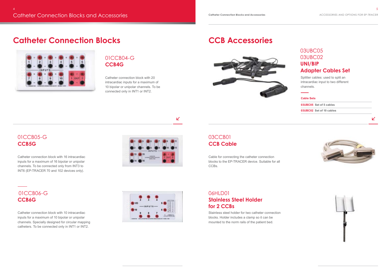### **CCB Accessories**



Cable for connecting the catheter connection blocks to the EP-TRACER device. Suitable for all CCBs.

### 06HLD01 **Stainless Steel Holder for 2 CCBs**

Stainless steel holder for two catheter connection blocks. Holder includes a clamp so it can be mounted to the norm rails of the patient bed.

#### $\mathbf{z}$

### 03CCB01 **CCB Cable**

Splitter cables: used to split an intracardiac input to two different channels.

### 03UBC05 03UBC02 **UNI/BIP Adapter Cables Set**

Catheter connection block with 16 intracardiac inputs for a maximum of 16 bipolar or unipolar channels. To be connected only from INT3 to INT6 (EP-TRACER 70 and 102 devices only).

Catheter connection block with 10 intracardiac inputs for a maximum of 10 bipolar or unipolar channels. Specially designed for circular mapping catheters. To be connected only in INT1 or INT2.



### 01CCB05-G **CCB5G**

### 01CCB06-G **CCB6G**

## **Catheter Connection Blocks**



Catheter connection block with 20 intracardiac inputs for a maximum of 10 bipolar or unipolar channels. To be connected only in INT1 or INT2.

### 01CCB04-G **CCB4G**

#### **Cable Sets**

**03UBC05 Set of 5 cables 03UBC02 Set of 10 cables**



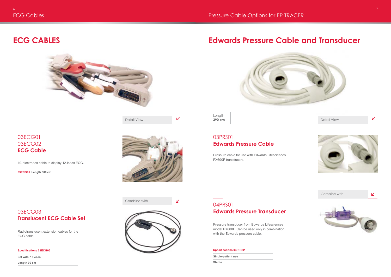

### **ECG CABLES**



Pressure cable for use with Edwards Lifesciences PX600F transducers.

### **Edwards Pressure Cable and Transducer**

### 03PRS01 **Edwards Pressure Cable**



### 04PRS01 **Edwards Pressure Transducer**

Pressure transducer from Edwards Lifesciences model PX600F. Can be used only in combination with the Edwards pressure cable.

#### **Specifications 04PRS01**

| <b>Single-patient use</b> |  |
|---------------------------|--|
| <b>Sterile</b>            |  |
|                           |  |

K



#### **Specifications 03ECG03**

**Set with 7 pieces**

**Length 90 cm**

**03ECG01 Length 300 cm**



10-electrodes cable to display 12-leads ECG.

Radiotranslucent extension cables for the ECG cable.

03ECG01 03ECG02 **ECG Cable**

03ECG03 **Translucent ECG Cable Set**



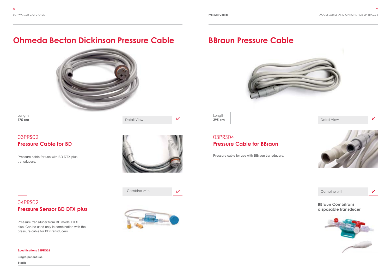

**295 cm** Detail View





Pressure cable for use with BD DTX plus transducers.



K

#### **Specifications 04PRS02**

**Single-patient use** 

**Sterile**



### **Ohmeda Becton Dickinson Pressure Cable**

#### 03PRS02 **Pressure Cable for BD**



Length **175 cm** Detail View

Pressure transducer from BD model DTX plus. Can be used only in combination with the pressure cable for BD transducers.

### 04PRS02 **Pressure Sensor BD DTX plus**

Pressure cable for use with BBraun transducers.



### **BBraun Pressure Cable**



### 03PRS04 **Pressure Cable for BBraun**

Length





**BBraun Combitrans disposable transducer**

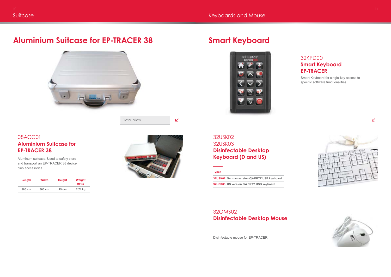Detail View

K

Aluminum suitcase. Used to safely store and transport an EP-TRACER 38 device plus accessories.

Disinfectable mouse for EP-TRACER.

## **Aluminium Suitcase for EP-TRACER 38**



### 08ACC01 **Aluminium Suitcase for EP-TRACER 38**

### 32USK02 32USK03 **Disinfectable Desktop Keyboard (D and US)**

### 32OMS02 **Disinfectable Desktop Mouse**

## **Smart Keyboard**



| Length | <b>Width</b> | <b>Height</b>   | Weight<br>netto |
|--------|--------------|-----------------|-----------------|
| 500 cm | 300 cm       | $15 \text{ cm}$ | 2,71 kg         |



Smart Keyboard for single-key access to specific software functionalities.





K

### 32KPD00 **Smart Keyboard EP-TRACER**

**Types**

**32USK02 German version QWERTZ USB keyboard 32USK03 US version QWERTY USB keyboard**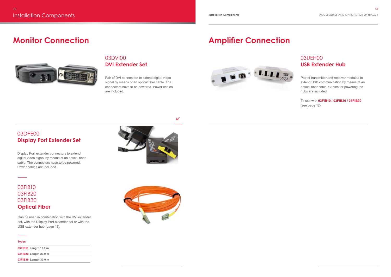Display Port extender connectors to extend digital video signal by means of an optical fiber cable. The connectors have to be powered. Power cables are included.



### 03DPE00 **Display Port Extender Set**

Pair of DVI connectors to extend digital video signal by means of an optical fiber cable. The connectors have to be powered. Power cables are included.

### **Monitor Connection**



### 03DVI00 **DVI Extender Set**

Can be used in combination with the DVI extender set, with the Display Port extender set or with the USB extender hub (page 13).

### 03FIB10 03FIB20 03FIB30 **Optical Fiber**

### **Amplifier Connection**



K

### **Types 03FIB10 Length 10.0 m 03FIB20 Length 20.0 m 03FIB30 Length 30.0 m**



Pair of transmitter and receiver modules to extend USB communication by means of an optical fiber cable. Cables for powering the hubs are included.

To use with **03FIB10 / 03FIB20 / 03FIB30**  (see page 12).

### 03UEH00 **USB Extender Hub**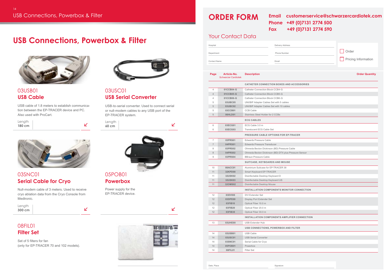|                     | <b>ORDER FORM</b>                            |                                                       | <b>Email</b><br><b>Phone</b><br><b>Fax</b> | customerservice@schwarzercardiotek.com<br>+49 (0)7131 2774 500<br>+49 (0)7131 2774 590 |                       |
|---------------------|----------------------------------------------|-------------------------------------------------------|--------------------------------------------|----------------------------------------------------------------------------------------|-----------------------|
|                     | <b>Your Contact Data</b>                     |                                                       |                                            |                                                                                        |                       |
| Hospital            |                                              |                                                       | Delivery Address                           |                                                                                        |                       |
| Department          |                                              |                                                       | <b>Phone Number</b>                        |                                                                                        | Order                 |
| <b>Contact Name</b> |                                              |                                                       | Email                                      |                                                                                        | Pricing Information   |
| Page                | Article-No.<br><b>Schwarzer Cardiotek</b>    | <b>Description</b>                                    |                                            |                                                                                        | <b>Order Quantity</b> |
|                     |                                              | <b>CATHETER CONNECTION BOXES AND ACCESSORIES</b>      |                                            |                                                                                        |                       |
| 4                   | 01CCB04-G                                    | <b>Catheter Connection Block CCB4-G</b>               |                                            |                                                                                        |                       |
| $\overline{4}$      | 01CCB05-G                                    | <b>Catheter Connection Block CCB5-G</b>               |                                            |                                                                                        |                       |
| $\overline{4}$      | 01CCB06-G                                    | <b>Catheter Connection Block CCB6-G</b>               |                                            |                                                                                        |                       |
| 5                   | 03UBC05                                      | UNI/BIP Adapter Cables Set with 5 cables              |                                            |                                                                                        |                       |
| 5                   | <b>03UBC02</b>                               | UNI/BIP Adapter Cables Set with 10 cables             |                                            |                                                                                        |                       |
| 5                   | 03CCB01                                      | <b>CCB Cable</b>                                      |                                            |                                                                                        |                       |
| 5                   | 06HLD01                                      | Stainless Steel Holder for 2 CCBs                     |                                            |                                                                                        |                       |
|                     |                                              | <b>ECG CABLES</b>                                     |                                            |                                                                                        |                       |
| 6                   | 03ECG01                                      | ECG Cable 3.0 m                                       |                                            |                                                                                        |                       |
| 6                   | 03ECG03                                      | <b>Translucent ECG Cable Set</b>                      |                                            |                                                                                        |                       |
|                     |                                              | <b>PRESSURE CABLE OPTIONS FOR EP-TRACER</b>           |                                            |                                                                                        |                       |
| $\overline{7}$      | 03PRS01                                      | <b>Edwards Pressure Cable</b>                         |                                            |                                                                                        |                       |
| $\overline{7}$      | 04PRS01                                      | <b>Edwards Pressure Transducer</b>                    |                                            |                                                                                        |                       |
| 8                   | 03PRS02                                      | Ohmeda Becton Dickinson (BD) Pressure Cable           |                                            |                                                                                        |                       |
| 8                   | 04PRS02                                      | Ohmeda Becton Dickinson (BD) DTX plus Pressure Sensor |                                            |                                                                                        |                       |
|                     | 9<br>03PRS04<br><b>BBraun Pressure Cable</b> |                                                       |                                            |                                                                                        |                       |
|                     |                                              | SUITCASE, KEYBOARDS AND MOUSE                         |                                            |                                                                                        |                       |
| 10                  | 08ACC01                                      | Aluminium Suitcase for EP-TRACER 38                   |                                            |                                                                                        |                       |
| 11                  | <b>32KPD00</b>                               | Smart Keyboard EP-TRACER                              |                                            |                                                                                        |                       |
| 11                  | <b>32USK02</b>                               |                                                       | Disinfectable Desktop Keyboard D           |                                                                                        |                       |
| 11                  | <b>32USK03</b>                               | Disinfectable Desktop Keyboard US                     |                                            |                                                                                        |                       |
| 11                  | <b>320MS02</b>                               | Disinfectable Desktop Mouse                           |                                            |                                                                                        |                       |
|                     |                                              | <b>INSTALLATION COMPONENTS MONITOR CONNECTION</b>     |                                            |                                                                                        |                       |
| 12                  | 03DVI00                                      | <b>DVI Extender Set</b>                               |                                            |                                                                                        |                       |
| 12                  | 03DPE00                                      | Display Port Extender Set                             |                                            |                                                                                        |                       |
| 12                  | 03FIB10                                      | Optical Fiber 10.0 m                                  |                                            |                                                                                        |                       |
| 12                  | 03FIB20                                      | Optical Fiber 20.0 m                                  |                                            |                                                                                        |                       |
| 12                  | 03FIB30                                      | Optical Fiber 30.0 m                                  |                                            |                                                                                        |                       |
|                     |                                              |                                                       |                                            | <b>INSTALLATION COMPONENTS AMPLIFIER CONNECTION</b>                                    |                       |
| 13                  | <b>03UHE00</b>                               | <b>USB Extender Hub</b>                               |                                            |                                                                                        |                       |
|                     |                                              | <b>USB CONNECTIONS, POWERBOX AND FILTER</b>           |                                            |                                                                                        |                       |
| 14                  | 03USB01                                      | <b>USB Cable</b>                                      |                                            |                                                                                        |                       |
| 14                  | <b>03USC01</b>                               | <b>USB Serial Converter</b>                           |                                            |                                                                                        |                       |
| 14                  | 03SNC01                                      | Serial Cable for Cryo                                 |                                            |                                                                                        |                       |
| 14                  | 05POB01                                      | Powerbox                                              |                                            |                                                                                        |                       |
| 14<br>Date, Place   | 08FIL01                                      | Filter Set                                            | Signature                                  |                                                                                        |                       |

|                |                | <b>CATHETER CONNECTION BOXES AND ACK</b>    |
|----------------|----------------|---------------------------------------------|
| 4              | 01CCB04-G      | <b>Catheter Connection Block CCB4-G</b>     |
| $\overline{4}$ | 01CCB05-G      | <b>Catheter Connection Block CCB5-G</b>     |
| 4              | 01CCB06-G      | Catheter Connection Block CCB6-G            |
| 5              | 03UBC05        | UNI/BIP Adapter Cables Set with 5 cables    |
| 5              | 03UBC02        | UNI/BIP Adapter Cables Set with 10 cables   |
| 5              | 03CCB01        | <b>CCB Cable</b>                            |
| 5              | 06HLD01        | Stainless Steel Holder for 2 CCBs           |
|                |                | <b>ECG CABLES</b>                           |
| 6              | 03ECG01        | ECG Cable 3.0 m                             |
| 6              | 03ECG03        | <b>Translucent ECG Cable Set</b>            |
|                |                | <b>PRESSURE CABLE OPTIONS FOR EP-TRA</b>    |
| 7              | 03PRS01        | <b>Edwards Pressure Cable</b>               |
| $\overline{7}$ | 04PRS01        | <b>Edwards Pressure Transducer</b>          |
| 8              | 03PRS02        | Ohmeda Becton Dickinson (BD) Pressure Cable |
| 8              | 04PRS02        | Ohmeda Becton Dickinson (BD) DTX plus Press |
| 9              | 03PRS04        | <b>BBraun Pressure Cable</b>                |
|                |                | <b>SUITCASE, KEYBOARDS AND MOUSE</b>        |
| 10             | 08ACC01        | Aluminium Suitcase for EP-TRACER 38         |
| 11             | <b>32KPD00</b> | <b>Smart Keyboard EP-TRACER</b>             |
| 11             | <b>32USK02</b> | Disinfectable Desktop Keyboard D            |
| 11             | <b>32USK03</b> | Disinfectable Desktop Keyboard US           |
| 11             | <b>320MS02</b> | Disinfectable Desktop Mouse                 |
|                |                | <b>INSTALLATION COMPONENTS MONITOR C</b>    |
| 12             | 03DVI00        | <b>DVI Extender Set</b>                     |
| 12             | 03DPE00        | Display Port Extender Set                   |
| 12             | 03FIB10        | Optical Fiber 10.0 m                        |
| 12             | 03FIB20        | Optical Fiber 20.0 m                        |
| 12             | 03FIB30        | Optical Fiber 30.0 m                        |
|                |                | <b>INSTALLATION COMPONENTS AMPLIFIER</b>    |
| 13             | <b>03UHE00</b> | <b>USB Extender Hub</b>                     |
|                |                | USB CONNECTIONS, POWERBOX AND FIL'          |
| 14             | 03USB01        | <b>USB Cable</b>                            |
| 14             | <b>03USC01</b> | <b>USB Serial Converter</b>                 |
| 14             | 03SNC01        | Serial Cable for Cryo                       |
| 14             | 05POB01        | Powerbox                                    |
| 14             | 08FIL01        | <b>Filter Set</b>                           |
|                |                |                                             |

USB cable of 1.8 meters to establish communication between the EP-TRACER device and PC. Also used with ProCart.

### **USB Connections, Powerbox & Filter**



### 03USB01 **USB Cable**

USB-to-serial converter. Used to connect serial or null-modem cables to any USB port of the EP-TRACER system.

### 03USC01 **USB Serial Converter**



**Powerbox**

### 08FIL01 **Filter Set**

| Length |  |  |
|--------|--|--|
| 180 cm |  |  |



Length **300 cm** Power supply for the EP-TRACER device.

K

 $\mathbf{z}$ 



Set of 5 filters for fan (only for EP-TRACER 70 and 102 models).



### 03SNC01 **Serial Cable for Cryo**

Null-modem cable of 3 meters. Used to receive cryo ablation data from the Cryo Console from Medtronic.

 $\mathbf{K}$ 

Length **60 cm**